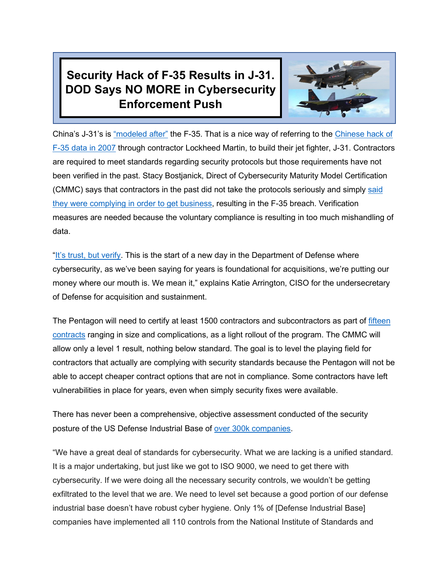## **Security Hack of F-35 Results in J-31. DOD Says NO MORE in Cybersecurity Enforcement Push**



China's J-31's is ["modeled after"](https://www.wsj.com/articles/chinas-cyber-theft-jet-fighter-1415838777) the F-35. That is a nice way of referring to the [Chinese hack of](https://www.wsj.com/articles/SB124027491029837401)  [F-35 data in 2007](https://www.wsj.com/articles/SB124027491029837401) through contractor Lockheed Martin, to build their jet fighter, J-31. Contractors are required to meet standards regarding security protocols but those requirements have not been verified in the past. Stacy Bostjanick, Direct of Cybersecurity Maturity Model Certification (CMMC) says that contractors in the past did not take the protocols seriously and simply [said](https://breakingdefense.com/2021/02/cmmc-stopping-cyber-espionage-like-chinese-theft-of-f-35-data/)  [they were complying in order to get business,](https://breakingdefense.com/2021/02/cmmc-stopping-cyber-espionage-like-chinese-theft-of-f-35-data/) resulting in the F-35 breach. Verification measures are needed because the voluntary compliance is resulting in too much mishandling of data.

["It's trust,](https://www.incisivnational.ro/2020/11/16/this-is-the-start-of-a-new-day-in-the-department-of-defense-where-cybersecurity-as-weve-been-saying-for-years-is-foundational-for-acquisitions-were-putting-our-money-where-our-mout/) but verify. This is the start of a new day in the Department of Defense where cybersecurity, as we've been saying for years is foundational for acquisitions, we're putting our money where our mouth is. We mean it," explains Katie Arrington, CISO for the undersecretary of Defense for acquisition and sustainment.

The Pentagon will need to certify at least 1500 contractors and subcontractors as part of fifteen [contracts](https://www.fedscoop.com/cmmc-contractor-timeline-for-certification/) ranging in size and complications, as a light rollout of the program. The CMMC will allow only a level 1 result, nothing below standard. The goal is to level the playing field for contractors that actually are complying with security standards because the Pentagon will not be able to accept cheaper contract options that are not in compliance. Some contractors have left vulnerabilities in place for years, even when simply security fixes were available.

There has never been a comprehensive, objective assessment conducted of the security posture of the US Defense Industrial Base of [over 300k companies.](https://www.bitsight.com/blog/whos-ready-for-the-cmmc)

"We have a great deal of standards for cybersecurity. What we are lacking is a unified standard. It is a major undertaking, but just like we got to ISO 9000, we need to get there with cybersecurity. If we were doing all the necessary security controls, we wouldn't be getting exfiltrated to the level that we are. We need to level set because a good portion of our defense industrial base doesn't have robust cyber hygiene. Only 1% of [Defense Industrial Base] companies have implemented all 110 controls from the National Institute of Standards and